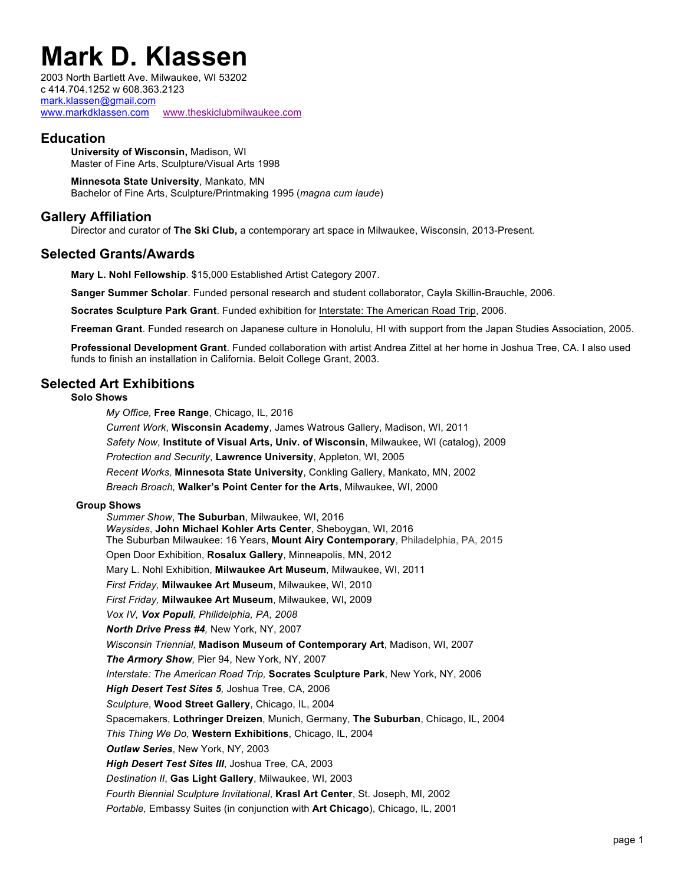# **Mark D. Klassen**

2003 North Bartlett Ave. Milwaukee, WI 53202 c 414.704.1252 w 608.363.2123 mark.klassen@gmail.com www.markdklassen.com www.theskiclubmilwaukee.com

# **Education**

**University of Wisconsin,** Madison, WI Master of Fine Arts, Sculpture/Visual Arts 1998

**Minnesota State University**, Mankato, MN Bachelor of Fine Arts, Sculpture/Printmaking 1995 (*magna cum laude*)

## **Gallery Affiliation**

Director and curator of **The Ski Club,** a contemporary art space in Milwaukee, Wisconsin, 2013-Present.

## **Selected Grants/Awards**

**Mary L. Nohl Fellowship**. \$15,000 Established Artist Category 2007.

**Sanger Summer Scholar**. Funded personal research and student collaborator, Cayla Skillin-Brauchle, 2006.

**Socrates Sculpture Park Grant**. Funded exhibition for Interstate: The American Road Trip, 2006.

**Freeman Grant**. Funded research on Japanese culture in Honolulu, HI with support from the Japan Studies Association, 2005.

**Professional Development Grant**. Funded collaboration with artist Andrea Zittel at her home in Joshua Tree, CA. I also used funds to finish an installation in California. Beloit College Grant, 2003.

## **Selected Art Exhibitions**

#### **Solo Shows**

*My Office,* **Free Range**, Chicago, IL, 2016

*Current Work*, **Wisconsin Academy**, James Watrous Gallery, Madison, WI, 2011 *Safety Now*, **Institute of Visual Arts, Univ. of Wisconsin**, Milwaukee, WI (catalog), 2009 *Protection and Security*, **Lawrence University**, Appleton, WI, 2005 *Recent Works,* **Minnesota State University**, Conkling Gallery, Mankato, MN, 2002 *Breach Broach,* **Walker's Point Center for the Arts**, Milwaukee, WI, 2000

#### **Group Shows**

*Summer Show*, **The Suburban**, Milwaukee, WI, 2016 *Waysides*, **John Michael Kohler Arts Center**, Sheboygan, WI, 2016 The Suburban Milwaukee: 16 Years, **Mount Airy Contemporary**, Philadelphia, PA, 2015 Open Door Exhibition, **Rosalux Gallery**, Minneapolis, MN, 2012 Mary L. Nohl Exhibition, **Milwaukee Art Museum**, Milwaukee, WI, 2011 *First Friday,* **Milwaukee Art Museum**, Milwaukee, WI, 2010 *First Friday,* **Milwaukee Art Museum**, Milwaukee, WI**,** 2009 *Vox IV, Vox Populi, Philidelphia, PA, 2008 North Drive Press #4,* New York, NY, 2007 *Wisconsin Triennial,* **Madison Museum of Contemporary Art**, Madison, WI, 2007 *The Armory Show,* Pier 94, New York, NY, 2007 *Interstate: The American Road Trip,* **Socrates Sculpture Park**, New York, NY, 2006 *High Desert Test Sites 5,* Joshua Tree, CA, 2006 *Sculpture*, **Wood Street Gallery**, Chicago, IL, 2004 Spacemakers, **Lothringer Dreizen**, Munich, Germany, **The Suburban**, Chicago, IL, 2004 *This Thing We Do,* **Western Exhibitions**, Chicago, IL, 2004 *Outlaw Series*, New York, NY, 2003 *High Desert Test Sites III*, Joshua Tree, CA, 2003 *Destination II*, **Gas Light Gallery**, Milwaukee, WI, 2003 *Fourth Biennial Sculpture Invitational*, **Krasl Art Center**, St. Joseph, MI, 2002 *Portable,* Embassy Suites (in conjunction with **Art Chicago**), Chicago, IL, 2001